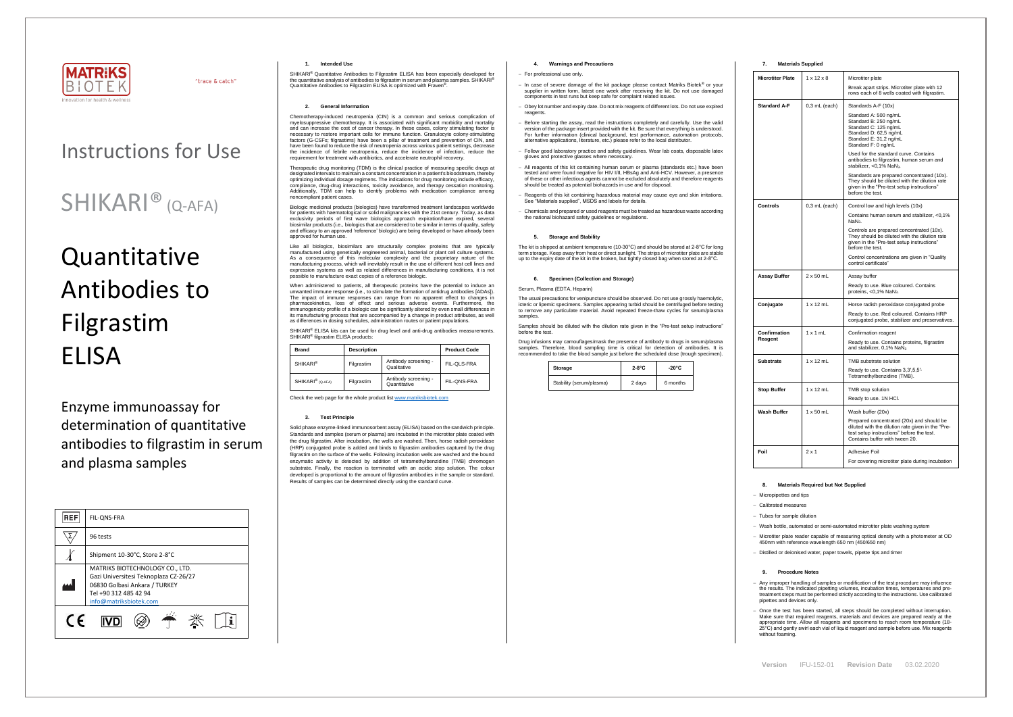

"trace & catch"

| IFU-152-01<br>Version | <b>Revision Date</b> | 03.02.2020 |
|-----------------------|----------------------|------------|
|-----------------------|----------------------|------------|

# Instructions for Use

# **Quantitative** Antibodies to Filgrastim ELISA

# SHIKARI® (Q-AFA)

Enzyme immunoassay for determination of quantitative antibodies to filgrastim in serum and plasma samples

| <b>REF</b> | FIL-ONS-FRA                                                                                                                                                  |
|------------|--------------------------------------------------------------------------------------------------------------------------------------------------------------|
|            | 96 tests                                                                                                                                                     |
|            | Shipment 10-30°C, Store 2-8°C                                                                                                                                |
|            | MATRIKS BIOTECHNOLOGY CO., LTD.<br>Gazi Universitesi Teknoplaza CZ-26/27<br>06830 Golbasi Ankara / TURKEY<br>Tel +90 312 485 42 94<br>info@matriksbiotek.com |
| C E        |                                                                                                                                                              |

## **1. Intended Use**

SHIKARI® Quantitative Antibodies to Filgrastim ELISA has been especially developed for the quantitative analysis of antibodies to filgrastim in serum and plasma samples. SHIKARI® Quantitative Antibodies to Filgrastim ELISA is optimized with Fraven® .

# **2. General Information**

Chemotherapy-induced neutropenia (CIN) is a common and serious complication of myelosuppressive chemotherapy. It is associated with significant morbidity and mortality and can increase the cost of cancer therapy. In these cases, colony stimulating factor is necessary to restore important cells for immune function. Granulocyte colony-stimulating factors (G-CSFs; filgrastims) have been a pillar of treatment and prevention of CIN, and have been found to reduce the risk of neutropenia across various patient settings, decrease the incidence of febrile neutropenia, reduce the incidence of infection, reduce the requirement for treatment with antibiotics, and accelerate neutrophil recovery.

Therapeutic drug monitoring (TDM) is the clinical practice of measuring specific drugs at designated intervals to maintain a constant concentration in a patient's bloodstream, thereby optimizing individual dosage regimens. The indications for drug monitoring include efficacy, compliance, drug-drug interactions, toxicity avoidance, and therapy cessation monitoring. Additionally, TDM can help to identify problems with medication compliance among noncompliant patient cases.

SHIKARI<sup>®</sup> ELISA kits can be used for drug level and anti-drug antibodies measurements. SHIKARI® filgrastim ELISA products:

Biologic medicinal products (biologics) have transformed treatment landscapes worldwide for patients with haematological or solid malignancies with the 21st century. Today, as data exclusivity periods of first wave biologics approach expiration/have expired, several biosimilar products (i.e., biologics that are considered to be similar in terms of quality, safety and efficacy to an approved 'reference' biologic) are being developed or have already been approved for human use.

Like all biologics, biosimilars are structurally complex proteins that are typically manufactured using genetically engineered animal, bacterial or plant cell culture systems. As a consequence of this molecular complexity and the proprietary nature of the manufacturing process, which will inevitably result in the use of different host cell lines and expression systems as well as related differences in manufacturing conditions, it is not possible to manufacture exact copies of a reference biologic.

When administered to patients, all therapeutic proteins have the potential to induce an unwanted immune response (i.e., to stimulate the formation of antidrug antibodies [ADAs]). The impact of immune responses can range from no apparent effect to changes in pharmacokinetics, loss of effect and serious adverse events. Furthermore, the immunogenicity profile of a biologic can be significantly altered by even small differences in its manufacturing process that are accompanied by a change in product attributes, as well as differences in dosing schedules, administration routes or patient populations.

The usual precautions for venipuncture should be observed. Do not use grossly haemolytic, icteric or lipemic specimens. Samples appearing turbid should be centrifuged before testing to remove any particulate material. Avoid repeated freeze-thaw cycles for serum/plasma samples

| <b>Brand</b>                 | <b>Description</b> |                                      | <b>Product Code</b> |
|------------------------------|--------------------|--------------------------------------|---------------------|
| <b>SHIKARI®</b>              | Filgrastim         | Antibody screening -<br>Qualitative  | FIL-QLS-FRA         |
| SHIKARI <sup>®</sup> (Q-AFA) | Filgrastim         | Antibody screening -<br>Quantitative | FIL-QNS-FRA         |

Check the web page for the whole product lis[t www.matriksbiotek.com](http://www.matriksbiotek.com/)

## **3. Test Principle**

Solid phase enzyme-linked immunosorbent assay (ELISA) based on the sandwich principle. Standards and samples (serum or plasma) are incubated in the microtiter plate coated with the drug filgrastim. After incubation, the wells are washed. Then, horse radish peroxidase (HRP) conjugated probe is added and binds to filgrastim antibodies captured by the drug filgrastim on the surface of the wells. Following incubation wells are washed and the bound enzymatic activity is detected by addition of tetramethylbenzidine (TMB) chromogen substrate. Finally, the reaction is terminated with an acidic stop solution. The colour developed is proportional to the amount of filgrastim antibodies in the sample or standard. Results of samples can be determined directly using the standard curve.

# **4. Warnings and Precautions**

#### − For professional use only.

Any improper handling of samples or modification of the test procedure may influence the results. The indicated pipetting volumes, incubation times, temperatures and pretreatment steps must be performed strictly according to the instructions. Use calibrated pipettes and devices only.

− Once the test has been started, all steps should be completed without interruption. Make sure that required reagents, materials and devices are prepared ready at the appropriate time. Allow all reagents and specimens to reach room temperature (18- 25°C) and gently swirl each vial of liquid reagent and sample before use. Mix reagents without foaming

- − In case of severe damage of the kit package please contact Matriks Biotek® or your supplier in written form, latest one week after receiving the kit. Do not use damaged components in test runs but keep safe for complaint related issues.
- Obey lot number and expiry date. Do not mix reagents of different lots. Do not use expired reagents
- Before starting the assay, read the instructions completely and carefully. Use the valid version of the package insert provided with the kit. Be sure that everything is understood. For further information (clinical background, test performance, automation protocols, alternative applications, literature, etc.) please refer to the local distributor.
- − Follow good laboratory practice and safety guidelines. Wear lab coats, disposable latex gloves and protective glasses where necessary.
- − All reagents of this kit containing human serum or plasma (standards etc.) have been tested and were found negative for HIV I/II, HBsAg and Anti-HCV. However, a presence of these or other infectious agents cannot be excluded absolutely and therefore reagents should be treated as potential biohazards in use and for disposal.
- − Reagents of this kit containing hazardous material may cause eye and skin irritations. See "Materials supplied", MSDS and labels for details.
- − Chemicals and prepared or used reagents must be treated as hazardous waste according the national biohazard safety guidelines or regulations.

# **5. Storage and Stability**

The kit is shipped at ambient temperature (10-30°C) and should be stored at 2-8°C for long m storage. Keep away from heat or direct sunlight. The strips of microtiter plate are stable up to the expiry date of the kit in the broken, but tightly closed bag when stored at 2-8°C.

#### **6. Specimen (Collection and Storage)**

#### Serum, Plasma (EDTA, Heparin)

Samples should be diluted with the dilution rate given in the "Pre-test setup instructions" before the test.

Drug infusions may camouflages/mask the presence of antibody to drugs in serum/plasma samples. Therefore, blood sampling time is critical for detection of antibodies. It is recommended to take the blood sample just before the scheduled dose (trough specimen).

| Storage                  | $2-8$ °C | $-20^{\circ}$ C |
|--------------------------|----------|-----------------|
| Stability (serum/plasma) | 2 days   | 6 months        |

# **7. Materials Supplied**

| <b>Microtiter Plate</b> | $1 \times 12 \times 8$ | Microtiter plate                                                                                                                                                              |
|-------------------------|------------------------|-------------------------------------------------------------------------------------------------------------------------------------------------------------------------------|
|                         |                        | Break apart strips. Microtiter plate with 12<br>rows each of 8 wells coated with filgrastim.                                                                                  |
| <b>Standard A-F</b>     | $0,3$ mL (each)        | Standards A-F (10x)                                                                                                                                                           |
|                         |                        | Standard A: 500 ng/mL<br>Standard B: 250 ng/mL<br>Standard C: 125 ng/mL<br>Standard D: 62,5 ng/mL<br>Standard E: 31,2 ng/mL<br>Standard F: 0 ng/mL                            |
|                         |                        | Used for the standard curve. Contains<br>antibodies to filgrastim, human serum and<br>stabilizer, <0,1% NaN <sub>3</sub> .                                                    |
|                         |                        | Standards are prepared concentrated (10x).<br>They should be diluted with the dilution rate<br>given in the "Pre-test setup instructions"<br>before the test.                 |
| Controls                | $0.3$ mL (each)        | Control low and high levels (10x)                                                                                                                                             |
|                         |                        | Contains human serum and stabilizer, <0,1%<br>NaN <sub>3</sub> .                                                                                                              |
|                         |                        | Controls are prepared concentrated (10x).<br>They should be diluted with the dilution rate<br>given in the "Pre-test setup instructions"<br>before the test.                  |
|                         |                        | Control concentrations are given in "Quality<br>control certificate"                                                                                                          |
| Assay Buffer            | $2 \times 50$ mL       | Assay buffer                                                                                                                                                                  |
|                         |                        | Ready to use. Blue coloured. Contains<br>proteins, <0,1% NaN <sub>3</sub> .                                                                                                   |
| Conjugate               | $1 \times 12$ mL       | Horse radish peroxidase conjugated probe                                                                                                                                      |
|                         |                        | Ready to use. Red coloured. Contains HRP<br>conjugated probe, stabilizer and preservatives.                                                                                   |
| Confirmation            | $1 \times 1$ mL        | Confirmation reagent                                                                                                                                                          |
| Reagent                 |                        | Ready to use. Contains proteins, filgrastim<br>and stabilizer, 0,1% NaN <sub>3</sub>                                                                                          |
| <b>Substrate</b>        | $1 \times 12$ mL       | TMB substrate solution                                                                                                                                                        |
|                         |                        | Ready to use. Contains 3,3',5,5'-<br>Tetramethylbenzidine (TMB).                                                                                                              |
| <b>Stop Buffer</b>      | $1 \times 12$ mL       | TMB stop solution                                                                                                                                                             |
|                         |                        | Ready to use. 1N HCl.                                                                                                                                                         |
| Wash Buffer             | $1 \times 50$ mL       | Wash buffer (20x)                                                                                                                                                             |
|                         |                        | Prepared concentrated (20x) and should be<br>diluted with the dilution rate given in the "Pre-<br>test setup instructions" before the test.<br>Contains buffer with tween 20. |
| Foil                    | $2 \times 1$           | <b>Adhesive Foil</b>                                                                                                                                                          |
|                         |                        | For covering microtiter plate during incubation                                                                                                                               |

#### **8. Materials Required but Not Supplied**

− Micropipettes and tips

− Calibrated measures

Tubes for sample dilution

− Wash bottle, automated or semi-automated microtiter plate washing system

− Microtiter plate reader capable of measuring optical density with a photometer at OD 450nm with reference wavelength 650 nm (450/650 nm)

− Distilled or deionised water, paper towels, pipette tips and timer

#### **9. Procedure Notes**